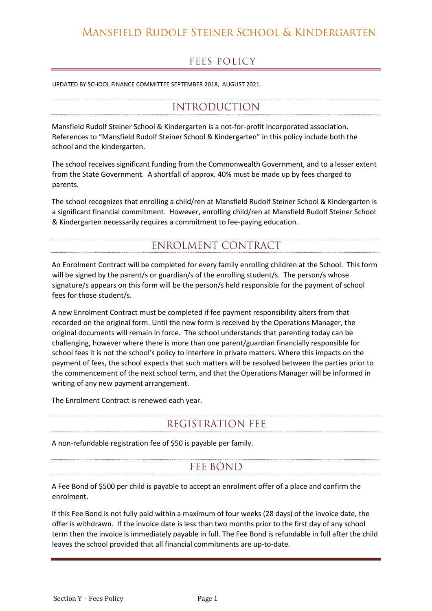#### MANSFIELD RUDOLF STEINER SCHOOL & KINDERGARTEN

#### **FEES POLICY**

UPDATED BY SCHOOL FINANCE COMMITTEE SEPTEMBER 2018, AUGUST 2021.

## **INTRODUCTION**

Mansfield Rudolf Steiner School & Kindergarten is a not-for-profit incorporated association. References to "Mansfield Rudolf Steiner School & Kindergarten" in this policy include both the school and the kindergarten.

The school receives significant funding from the Commonwealth Government, and to a lesser extent from the State Government. A shortfall of approx. 40% must be made up by fees charged to parents.

The school recognizes that enrolling a child/ren at Mansfield Rudolf Steiner School & Kindergarten is a significant financial commitment. However, enrolling child/ren at Mansfield Rudolf Steiner School & Kindergarten necessarily requires a commitment to fee-paying education.

# **ENROLMENT CONTRACT**

An Enrolment Contract will be completed for every family enrolling children at the School. This form will be signed by the parent/s or guardian/s of the enrolling student/s. The person/s whose signature/s appears on this form will be the person/s held responsible for the payment of school fees for those student/s.

A new Enrolment Contract must be completed if fee payment responsibility alters from that recorded on the original form. Until the new form is received by the Operations Manager, the original documents will remain in force. The school understands that parenting today can be challenging, however where there is more than one parent/guardian financially responsible for school fees it is not the school's policy to interfere in private matters. Where this impacts on the payment of fees, the school expects that such matters will be resolved between the parties prior to the commencement of the next school term, and that the Operations Manager will be informed in writing of any new payment arrangement.

The Enrolment Contract is renewed each year.

# REGISTRATION FEE

A non-refundable registration fee of \$50 is payable per family.

# **FEE BOND**

A Fee Bond of \$500 per child is payable to accept an enrolment offer of a place and confirm the enrolment.

If this Fee Bond is not fully paid within a maximum of four weeks (28 days) of the invoice date, the offer is withdrawn. If the invoice date is less than two months prior to the first day of any school term then the invoice is immediately payable in full. The Fee Bond is refundable in full after the child leaves the school provided that all financial commitments are up-to-date.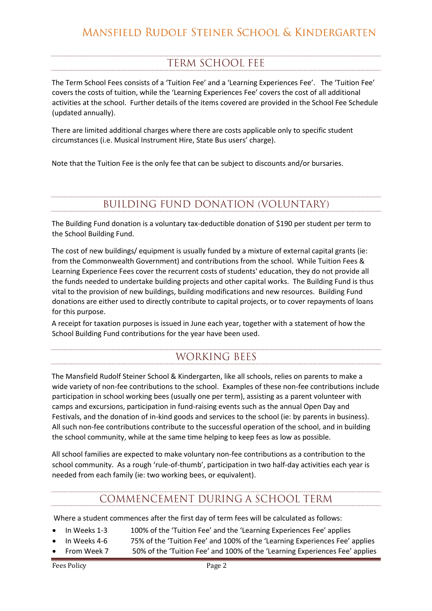# **TERM SCHOOL FEE**

The Term School Fees consists of a 'Tuition Fee' and a 'Learning Experiences Fee'. The 'Tuition Fee' covers the costs of tuition, while the 'Learning Experiences Fee' covers the cost of all additional activities at the school. Further details of the items covered are provided in the School Fee Schedule (updated annually).

There are limited additional charges where there are costs applicable only to specific student circumstances (i.e. Musical Instrument Hire, State Bus users' charge).

Note that the Tuition Fee is the only fee that can be subject to discounts and/or bursaries.

# **BUILDING FUND DONATION (VOLUNTARY)**

The Building Fund donation is a voluntary tax-deductible donation of \$190 per student per term to the School Building Fund.

The cost of new buildings/ equipment is usually funded by a mixture of external capital grants (ie: from the Commonwealth Government) and contributions from the school. While Tuition Fees & Learning Experience Fees cover the recurrent costs of students' education, they do not provide all the funds needed to undertake building projects and other capital works. The Building Fund is thus vital to the provision of new buildings, building modifications and new resources. Building Fund donations are either used to directly contribute to capital projects, or to cover repayments of loans for this purpose.

A receipt for taxation purposes is issued in June each year, together with a statement of how the School Building Fund contributions for the year have been used.

# **WORKING BEES**

The Mansfield Rudolf Steiner School & Kindergarten, like all schools, relies on parents to make a wide variety of non-fee contributions to the school. Examples of these non-fee contributions include participation in school working bees (usually one per term), assisting as a parent volunteer with camps and excursions, participation in fund-raising events such as the annual Open Day and Festivals, and the donation of in-kind goods and services to the school (ie: by parents in business). All such non-fee contributions contribute to the successful operation of the school, and in building the school community, while at the same time helping to keep fees as low as possible.

All school families are expected to make voluntary non-fee contributions as a contribution to the school community. As a rough 'rule-of-thumb', participation in two half-day activities each year is needed from each family (ie: two working bees, or equivalent).

## COMMENCEMENT DURING A SCHOOL TERM

Where a student commences after the first day of term fees will be calculated as follows:

- In Weeks 1-3 100% of the 'Tuition Fee' and the 'Learning Experiences Fee' applies
- In Weeks 4-6 75% of the 'Tuition Fee' and 100% of the 'Learning Experiences Fee' applies
- From Week 7 50% of the 'Tuition Fee' and 100% of the 'Learning Experiences Fee' applies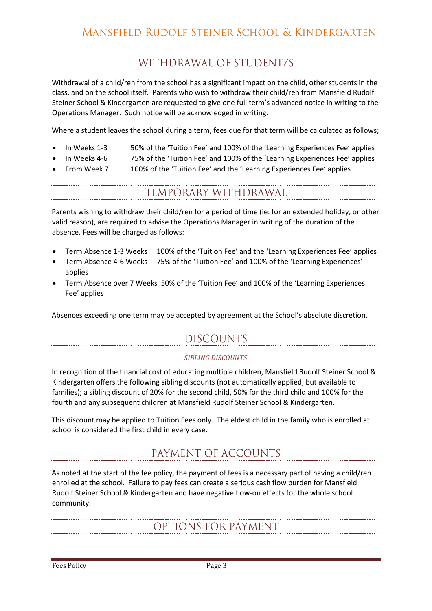# WITHDRAWAL OF STUDENT/S

Withdrawal of a child/ren from the school has a significant impact on the child, other students in the class, and on the school itself. Parents who wish to withdraw their child/ren from Mansfield Rudolf Steiner School & Kindergarten are requested to give one full term's advanced notice in writing to the Operations Manager. Such notice will be acknowledged in writing.

Where a student leaves the school during a term, fees due for that term will be calculated as follows;

- In Weeks 1-3 50% of the 'Tuition Fee' and 100% of the 'Learning Experiences Fee' applies
- In Weeks 4-6 75% of the 'Tuition Fee' and 100% of the 'Learning Experiences Fee' applies
- From Week 7 100% of the 'Tuition Fee' and the 'Learning Experiences Fee' applies

### TEMPORARY WITHDRAWAL

Parents wishing to withdraw their child/ren for a period of time (ie: for an extended holiday, or other valid reason), are required to advise the Operations Manager in writing of the duration of the absence. Fees will be charged as follows:

- Term Absence 1-3 Weeks 100% of the 'Tuition Fee' and the 'Learning Experiences Fee' applies
- Term Absence 4-6 Weeks 75% of the 'Tuition Fee' and 100% of the 'Learning Experiences' applies
- Term Absence over 7 Weeks 50% of the 'Tuition Fee' and 100% of the 'Learning Experiences Fee' applies

Absences exceeding one term may be accepted by agreement at the School's absolute discretion.

# **DISCOUNTS**

#### *SIBLING DISCOUNTS*

In recognition of the financial cost of educating multiple children, Mansfield Rudolf Steiner School & Kindergarten offers the following sibling discounts (not automatically applied, but available to families); a sibling discount of 20% for the second child, 50% for the third child and 100% for the fourth and any subsequent children at Mansfield Rudolf Steiner School & Kindergarten.

This discount may be applied to Tuition Fees only. The eldest child in the family who is enrolled at school is considered the first child in every case.

# PAYMENT OF ACCOUNTS

As noted at the start of the fee policy, the payment of fees is a necessary part of having a child/ren enrolled at the school. Failure to pay fees can create a serious cash flow burden for Mansfield Rudolf Steiner School & Kindergarten and have negative flow-on effects for the whole school community.

## OPTIONS FOR PAYMENT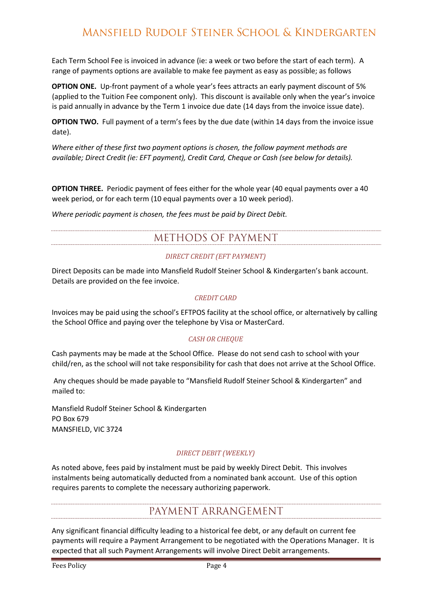## MANSFIELD RUDOLF STEINER SCHOOL & KINDERGARTEN

Each Term School Fee is invoiced in advance (ie: a week or two before the start of each term). A range of payments options are available to make fee payment as easy as possible; as follows

**OPTION ONE.** Up-front payment of a whole year's fees attracts an early payment discount of 5% (applied to the Tuition Fee component only). This discount is available only when the year's invoice is paid annually in advance by the Term 1 invoice due date (14 days from the invoice issue date).

**OPTION TWO.** Full payment of a term's fees by the due date (within 14 days from the invoice issue date).

*Where either of these first two payment options is chosen, the follow payment methods are available; Direct Credit (ie: EFT payment), Credit Card, Cheque or Cash (see below for details).* 

**OPTION THREE.** Periodic payment of fees either for the whole year (40 equal payments over a 40 week period, or for each term (10 equal payments over a 10 week period).

*Where periodic payment is chosen, the fees must be paid by Direct Debit.*

# METHODS OF PAYMENT

#### *DIRECT CREDIT (EFT PAYMENT)*

Direct Deposits can be made into Mansfield Rudolf Steiner School & Kindergarten's bank account. Details are provided on the fee invoice.

#### *CREDIT CARD*

Invoices may be paid using the school's EFTPOS facility at the school office, or alternatively by calling the School Office and paying over the telephone by Visa or MasterCard.

#### *CASH OR CHEQUE*

Cash payments may be made at the School Office. Please do not send cash to school with your child/ren, as the school will not take responsibility for cash that does not arrive at the School Office.

Any cheques should be made payable to "Mansfield Rudolf Steiner School & Kindergarten" and mailed to:

Mansfield Rudolf Steiner School & Kindergarten PO Box 679 MANSFIELD, VIC 3724

#### *DIRECT DEBIT (WEEKLY)*

As noted above, fees paid by instalment must be paid by weekly Direct Debit. This involves instalments being automatically deducted from a nominated bank account. Use of this option requires parents to complete the necessary authorizing paperwork.

#### PAYMENT ARRANGEMENT

Any significant financial difficulty leading to a historical fee debt, or any default on current fee payments will require a Payment Arrangement to be negotiated with the Operations Manager. It is expected that all such Payment Arrangements will involve Direct Debit arrangements.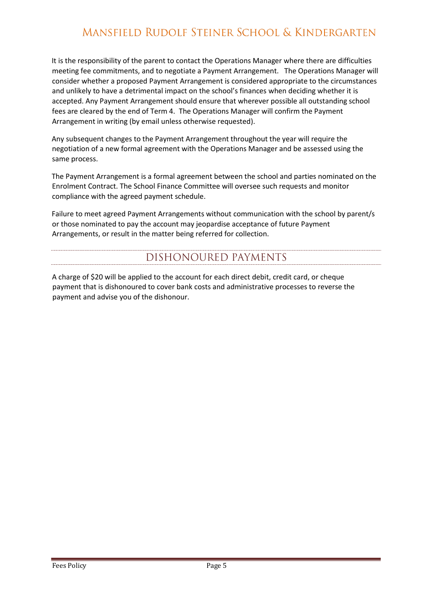# MANSFIELD RUDOLF STEINER SCHOOL & KINDERGARTEN

It is the responsibility of the parent to contact the Operations Manager where there are difficulties meeting fee commitments, and to negotiate a Payment Arrangement. The Operations Manager will consider whether a proposed Payment Arrangement is considered appropriate to the circumstances and unlikely to have a detrimental impact on the school's finances when deciding whether it is accepted. Any Payment Arrangement should ensure that wherever possible all outstanding school fees are cleared by the end of Term 4. The Operations Manager will confirm the Payment Arrangement in writing (by email unless otherwise requested).

Any subsequent changes to the Payment Arrangement throughout the year will require the negotiation of a new formal agreement with the Operations Manager and be assessed using the same process.

The Payment Arrangement is a formal agreement between the school and parties nominated on the Enrolment Contract. The School Finance Committee will oversee such requests and monitor compliance with the agreed payment schedule.

Failure to meet agreed Payment Arrangements without communication with the school by parent/s or those nominated to pay the account may jeopardise acceptance of future Payment Arrangements, or result in the matter being referred for collection.

# DISHONOURED PAYMENTS

A charge of \$20 will be applied to the account for each direct debit, credit card, or cheque payment that is dishonoured to cover bank costs and administrative processes to reverse the payment and advise you of the dishonour.